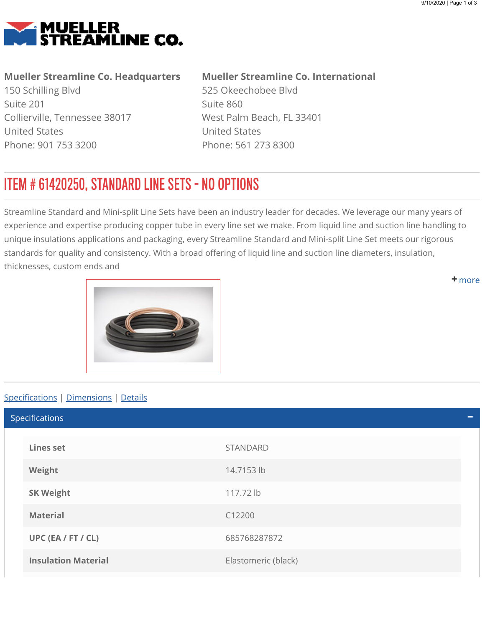<span id="page-0-0"></span>

## Mueller Streamline Co. Headquarters

150 Schilling Blvd Suite 201 Collierville, Tennessee 38017 United States Phone: 901 753 3200

## Mueller Streamline Co. International

525 Okeechobee Blvd Suite 860 West Palm Beach, FL 33401 United States Phone: 561 273 8300

## ITEM # 61420250, STANDARD LINE SETS - NO OPTIONS

Streamline Standard and Mini-split Line Sets have been an industry leader for decades. We leverage our many years of experience and expertise producing copper tube in every line set we make. From liquid line and suction line handling to unique insulations applications and packaging, every Streamline Standard and Mini-split Line Set meets our rigorous standards for quality and consistency. With a broad offering of liquid line and suction line diameters, insulation, thicknesses, custom ends and

<span id="page-0-1"></span>

## Specifications | [Dimensions](#page-1-0) | [Details](#page-1-1)

Lines set STANDARD Weight 14.7153 lb SK Weight 117.72 lb Material C12200 UPC (EA / FT / CL) 685768287872 **Insulation Material Elastomeric (black)** Specifications

**+** [m](#page-0-0)ore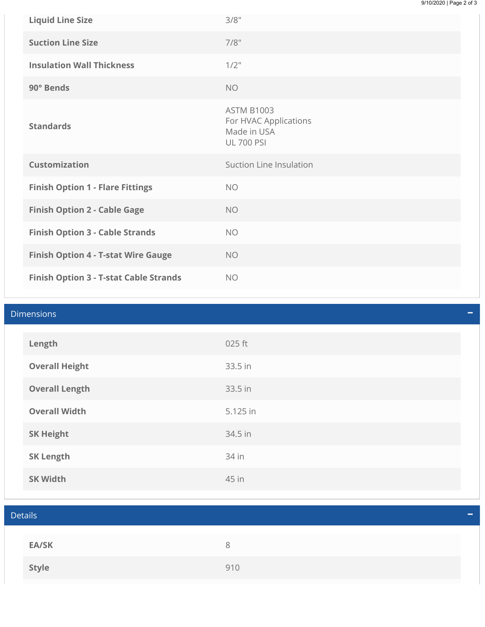| <b>Liquid Line Size</b>                    | 3/8"                                                                           |
|--------------------------------------------|--------------------------------------------------------------------------------|
| <b>Suction Line Size</b>                   | 7/8"                                                                           |
| <b>Insulation Wall Thickness</b>           | $1/2$ "                                                                        |
| 90° Bends                                  | <b>NO</b>                                                                      |
| <b>Standards</b>                           | <b>ASTM B1003</b><br>For HVAC Applications<br>Made in USA<br><b>UL 700 PSI</b> |
| <b>Customization</b>                       | Suction Line Insulation                                                        |
| <b>Finish Option 1 - Flare Fittings</b>    | <b>NO</b>                                                                      |
|                                            |                                                                                |
| <b>Finish Option 2 - Cable Gage</b>        | <b>NO</b>                                                                      |
| <b>Finish Option 3 - Cable Strands</b>     | <b>NO</b>                                                                      |
| <b>Finish Option 4 - T-stat Wire Gauge</b> | <b>NO</b>                                                                      |

<span id="page-1-1"></span><span id="page-1-0"></span>

| <b>Dimensions</b> |                       |          |  |  |
|-------------------|-----------------------|----------|--|--|
|                   | Length                | 025 ft   |  |  |
|                   | <b>Overall Height</b> | 33.5 in  |  |  |
|                   | <b>Overall Length</b> | 33.5 in  |  |  |
|                   | <b>Overall Width</b>  | 5.125 in |  |  |
|                   | <b>SK Height</b>      | 34.5 in  |  |  |
|                   | <b>SK Length</b>      | 34 in    |  |  |
|                   | <b>SK Width</b>       | 45 in    |  |  |

| <b>Details</b> |     |  |
|----------------|-----|--|
|                |     |  |
| EA/SK          | 8   |  |
| Style          | 910 |  |